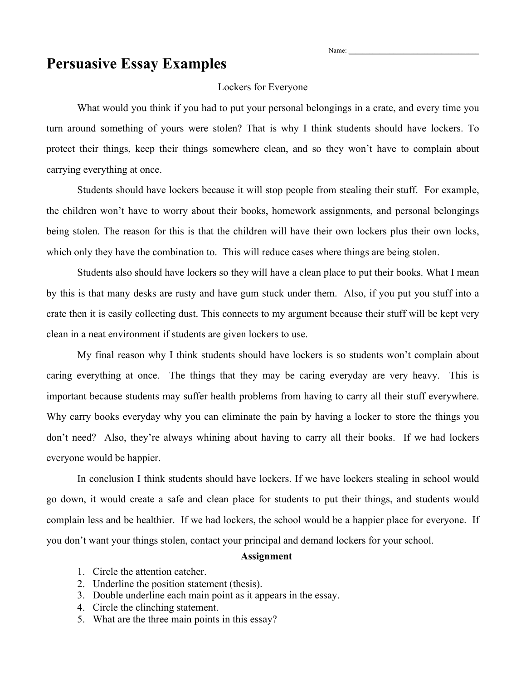# **Persuasive Essay Examples**

### Lockers for Everyone

What would you think if you had to put your personal belongings in a crate, and every time you turn around something of yours were stolen? That is why I think students should have lockers. To protect their things, keep their things somewhere clean, and so they won't have to complain about carrying everything at once.

Students should have lockers because it will stop people from stealing their stuff. For example, the children won't have to worry about their books, homework assignments, and personal belongings being stolen. The reason for this is that the children will have their own lockers plus their own locks, which only they have the combination to. This will reduce cases where things are being stolen.

Students also should have lockers so they will have a clean place to put their books. What I mean by this is that many desks are rusty and have gum stuck under them. Also, if you put you stuff into a crate then it is easily collecting dust. This connects to my argument because their stuff will be kept very clean in a neat environment if students are given lockers to use.

My final reason why I think students should have lockers is so students won't complain about caring everything at once. The things that they may be caring everyday are very heavy. This is important because students may suffer health problems from having to carry all their stuff everywhere. Why carry books everyday why you can eliminate the pain by having a locker to store the things you don't need? Also, they're always whining about having to carry all their books. If we had lockers everyone would be happier.

In conclusion I think students should have lockers. If we have lockers stealing in school would go down, it would create a safe and clean place for students to put their things, and students would complain less and be healthier. If we had lockers, the school would be a happier place for everyone. If you don't want your things stolen, contact your principal and demand lockers for your school.

#### **Assignment**

- 1. Circle the attention catcher.
- 2. Underline the position statement (thesis).
- 3. Double underline each main point as it appears in the essay.
- 4. Circle the clinching statement.
- 5. What are the three main points in this essay?